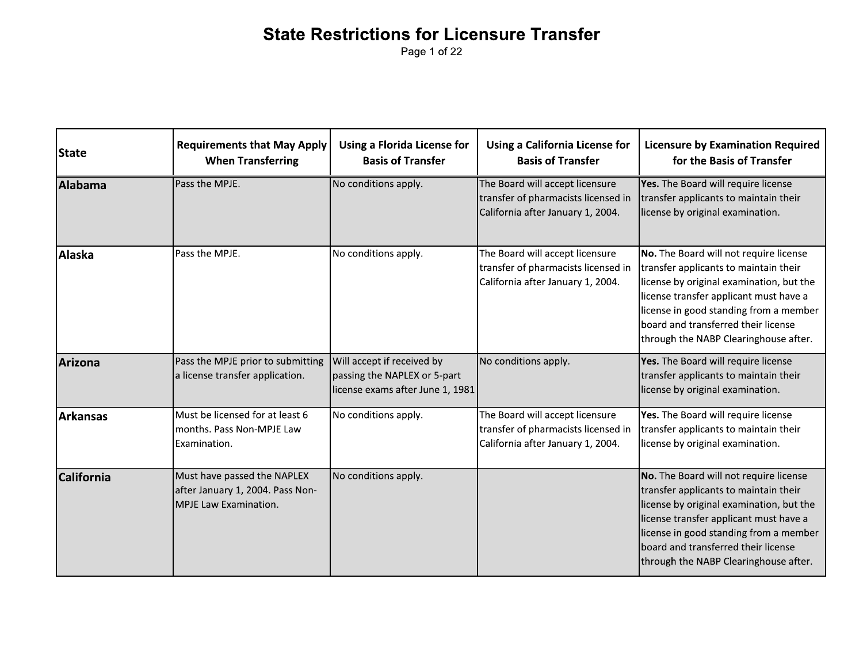Page 1 of 22

| <b>State</b>      | <b>Requirements that May Apply</b><br><b>When Transferring</b>                           | <b>Using a Florida License for</b><br><b>Basis of Transfer</b>                                 | <b>Using a California License for</b><br><b>Basis of Transfer</b>                                           | <b>Licensure by Examination Required</b><br>for the Basis of Transfer                                                                                                                                                                                                                           |
|-------------------|------------------------------------------------------------------------------------------|------------------------------------------------------------------------------------------------|-------------------------------------------------------------------------------------------------------------|-------------------------------------------------------------------------------------------------------------------------------------------------------------------------------------------------------------------------------------------------------------------------------------------------|
| Alabama           | Pass the MPJE.                                                                           | No conditions apply.                                                                           | The Board will accept licensure<br>transfer of pharmacists licensed in<br>California after January 1, 2004. | Yes. The Board will require license<br>transfer applicants to maintain their<br>license by original examination.                                                                                                                                                                                |
| Alaska            | Pass the MPJE.                                                                           | No conditions apply.                                                                           | The Board will accept licensure<br>transfer of pharmacists licensed in<br>California after January 1, 2004. | No. The Board will not require license<br>transfer applicants to maintain their<br>license by original examination, but the<br>license transfer applicant must have a<br>license in good standing from a member<br>board and transferred their license<br>through the NABP Clearinghouse after. |
| Arizona           | Pass the MPJE prior to submitting<br>a license transfer application.                     | Will accept if received by<br>passing the NAPLEX or 5-part<br>license exams after June 1, 1981 | No conditions apply.                                                                                        | Yes. The Board will require license<br>transfer applicants to maintain their<br>license by original examination.                                                                                                                                                                                |
| l Arkansas        | Must be licensed for at least 6<br>months. Pass Non-MPJE Law<br>Examination.             | No conditions apply.                                                                           | The Board will accept licensure<br>transfer of pharmacists licensed in<br>California after January 1, 2004. | Yes. The Board will require license<br>transfer applicants to maintain their<br>license by original examination.                                                                                                                                                                                |
| <b>California</b> | Must have passed the NAPLEX<br>after January 1, 2004. Pass Non-<br>MPJE Law Examination. | No conditions apply.                                                                           |                                                                                                             | No. The Board will not require license<br>transfer applicants to maintain their<br>license by original examination, but the<br>license transfer applicant must have a<br>license in good standing from a member<br>board and transferred their license<br>through the NABP Clearinghouse after. |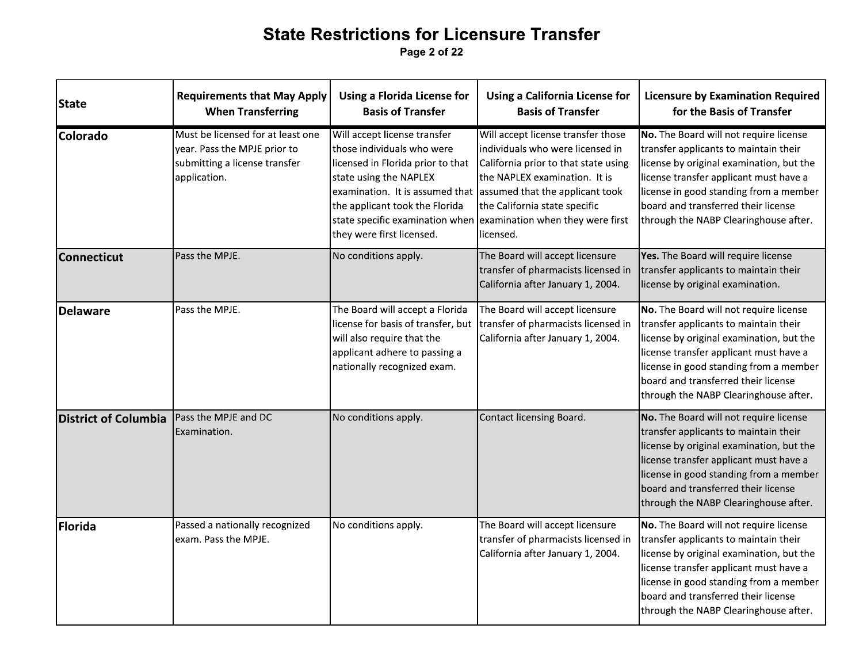Page 2 of 22

| <b>State</b>                | <b>Requirements that May Apply</b><br><b>When Transferring</b>                                                     | <b>Using a Florida License for</b><br><b>Basis of Transfer</b>                                                                                                                           | <b>Using a California License for</b><br><b>Basis of Transfer</b>                                                                                                                                                                                                                                                                    | <b>Licensure by Examination Required</b><br>for the Basis of Transfer                                                                                                                                                                                                                           |
|-----------------------------|--------------------------------------------------------------------------------------------------------------------|------------------------------------------------------------------------------------------------------------------------------------------------------------------------------------------|--------------------------------------------------------------------------------------------------------------------------------------------------------------------------------------------------------------------------------------------------------------------------------------------------------------------------------------|-------------------------------------------------------------------------------------------------------------------------------------------------------------------------------------------------------------------------------------------------------------------------------------------------|
| Colorado                    | Must be licensed for at least one<br>year. Pass the MPJE prior to<br>submitting a license transfer<br>application. | Will accept license transfer<br>those individuals who were<br>licensed in Florida prior to that<br>state using the NAPLEX<br>the applicant took the Florida<br>they were first licensed. | Will accept license transfer those<br>individuals who were licensed in<br>California prior to that state using<br>the NAPLEX examination. It is<br>examination. It is assumed that assumed that the applicant took<br>the California state specific<br>state specific examination when examination when they were first<br>licensed. | No. The Board will not require license<br>transfer applicants to maintain their<br>license by original examination, but the<br>license transfer applicant must have a<br>license in good standing from a member<br>board and transferred their license<br>through the NABP Clearinghouse after. |
| <b>Connecticut</b>          | Pass the MPJE.                                                                                                     | No conditions apply.                                                                                                                                                                     | The Board will accept licensure<br>transfer of pharmacists licensed in<br>California after January 1, 2004.                                                                                                                                                                                                                          | Yes. The Board will require license<br>transfer applicants to maintain their<br>license by original examination.                                                                                                                                                                                |
| <b>Delaware</b>             | Pass the MPJE.                                                                                                     | The Board will accept a Florida<br>license for basis of transfer, but<br>will also require that the<br>applicant adhere to passing a<br>nationally recognized exam.                      | The Board will accept licensure<br>transfer of pharmacists licensed in<br>California after January 1, 2004.                                                                                                                                                                                                                          | No. The Board will not require license<br>transfer applicants to maintain their<br>license by original examination, but the<br>license transfer applicant must have a<br>license in good standing from a member<br>board and transferred their license<br>through the NABP Clearinghouse after. |
| <b>District of Columbia</b> | Pass the MPJE and DC<br>Examination.                                                                               | No conditions apply.                                                                                                                                                                     | Contact licensing Board.                                                                                                                                                                                                                                                                                                             | No. The Board will not require license<br>transfer applicants to maintain their<br>license by original examination, but the<br>license transfer applicant must have a<br>license in good standing from a member<br>board and transferred their license<br>through the NABP Clearinghouse after. |
| Florida                     | Passed a nationally recognized<br>exam. Pass the MPJE.                                                             | No conditions apply.                                                                                                                                                                     | The Board will accept licensure<br>transfer of pharmacists licensed in<br>California after January 1, 2004.                                                                                                                                                                                                                          | No. The Board will not require license<br>transfer applicants to maintain their<br>license by original examination, but the<br>license transfer applicant must have a<br>license in good standing from a member<br>board and transferred their license<br>through the NABP Clearinghouse after. |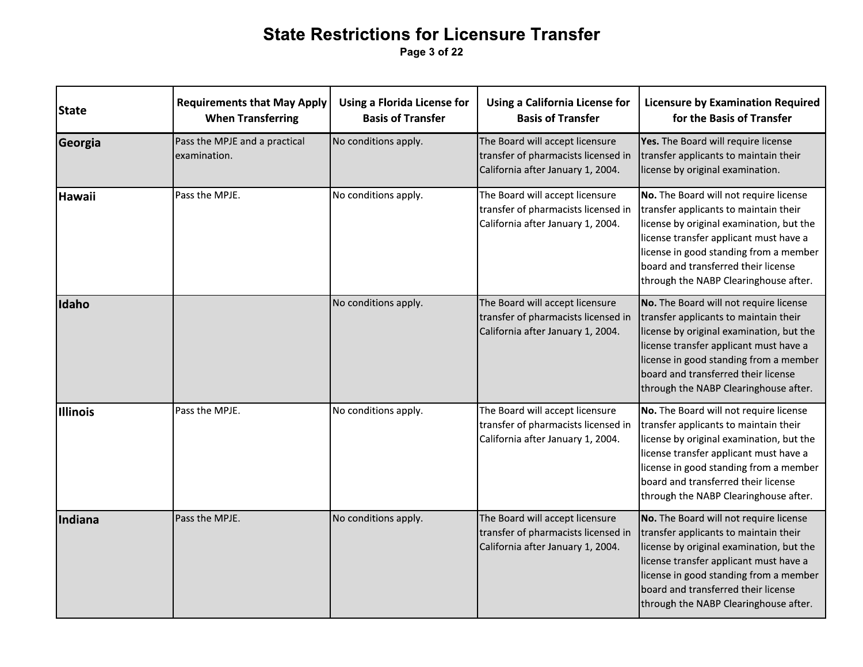|                 | <b>State Restrictions for Licensure Transfer</b><br>Page 3 of 22 |                                                                |                                                                                                             |                                                                                                                                                                                                                                                                                                 |  |  |  |
|-----------------|------------------------------------------------------------------|----------------------------------------------------------------|-------------------------------------------------------------------------------------------------------------|-------------------------------------------------------------------------------------------------------------------------------------------------------------------------------------------------------------------------------------------------------------------------------------------------|--|--|--|
| State           | <b>Requirements that May Apply</b><br><b>When Transferring</b>   | <b>Using a Florida License for</b><br><b>Basis of Transfer</b> | <b>Using a California License for</b><br><b>Basis of Transfer</b>                                           | <b>Licensure by Examination Required</b><br>for the Basis of Transfer                                                                                                                                                                                                                           |  |  |  |
| Georgia         | Pass the MPJE and a practical<br>examination.                    | No conditions apply.                                           | The Board will accept licensure<br>transfer of pharmacists licensed in<br>California after January 1, 2004. | Yes. The Board will require license<br>transfer applicants to maintain their<br>license by original examination.                                                                                                                                                                                |  |  |  |
| <b>Hawaii</b>   | Pass the MPJE.                                                   | No conditions apply.                                           | The Board will accept licensure<br>transfer of pharmacists licensed in<br>California after January 1, 2004. | No. The Board will not require license<br>transfer applicants to maintain their<br>license by original examination, but the<br>license transfer applicant must have a<br>license in good standing from a member<br>board and transferred their license<br>through the NABP Clearinghouse after. |  |  |  |
| Idaho           |                                                                  | No conditions apply.                                           | The Board will accept licensure<br>transfer of pharmacists licensed in<br>California after January 1, 2004. | No. The Board will not require license<br>transfer applicants to maintain their<br>license by original examination, but the<br>license transfer applicant must have a<br>license in good standing from a member<br>board and transferred their license<br>through the NABP Clearinghouse after. |  |  |  |
| <b>Illinois</b> | Pass the MPJE.                                                   | No conditions apply.                                           | The Board will accept licensure<br>transfer of pharmacists licensed in<br>California after January 1, 2004. | No. The Board will not require license<br>transfer applicants to maintain their<br>license by original examination, but the<br>license transfer applicant must have a<br>license in good standing from a member<br>board and transferred their license<br>through the NABP Clearinghouse after. |  |  |  |
| Indiana         | Pass the MPJE.                                                   | No conditions apply.                                           | The Board will accept licensure<br>transfer of pharmacists licensed in<br>California after January 1, 2004. | No. The Board will not require license<br>transfer applicants to maintain their<br>license by original examination, but the<br>license transfer applicant must have a<br>license in good standing from a member<br>board and transferred their license<br>through the NABP Clearinghouse after. |  |  |  |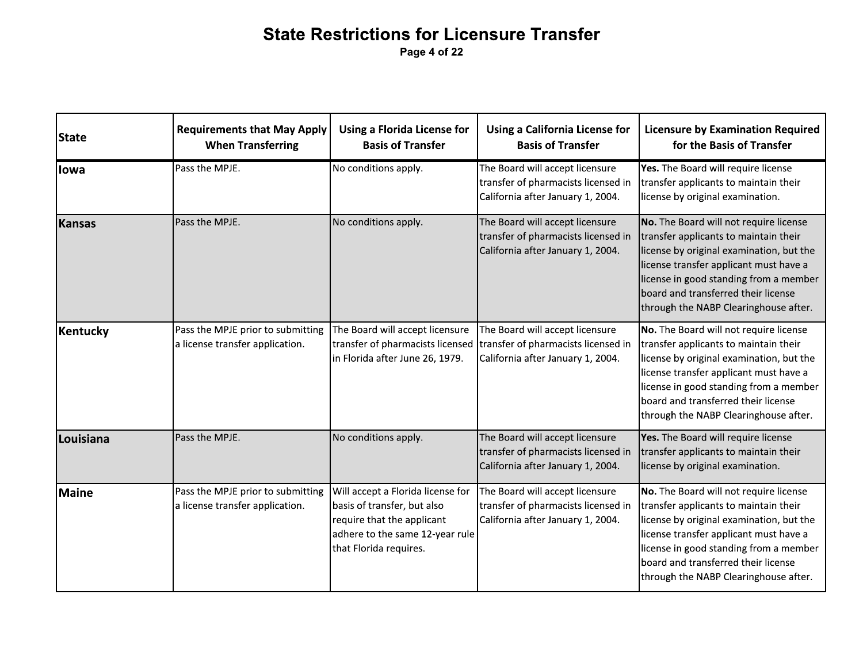| <b>State</b> | <b>Requirements that May Apply</b><br><b>When Transferring</b>       | <b>Using a Florida License for</b><br><b>Basis of Transfer</b>                                                                                              | <b>Using a California License for</b><br><b>Basis of Transfer</b>                                           | <b>Licensure by Examination Required</b><br>for the Basis of Transfer                                                                                                                                                                                                                           |
|--------------|----------------------------------------------------------------------|-------------------------------------------------------------------------------------------------------------------------------------------------------------|-------------------------------------------------------------------------------------------------------------|-------------------------------------------------------------------------------------------------------------------------------------------------------------------------------------------------------------------------------------------------------------------------------------------------|
| lowa         | Pass the MPJE.                                                       | No conditions apply.                                                                                                                                        | The Board will accept licensure<br>transfer of pharmacists licensed in<br>California after January 1, 2004. | Yes. The Board will require license<br>transfer applicants to maintain their<br>license by original examination.                                                                                                                                                                                |
| Kansas       | Pass the MPJE.                                                       | No conditions apply.                                                                                                                                        | The Board will accept licensure<br>transfer of pharmacists licensed in<br>California after January 1, 2004. | No. The Board will not require license<br>transfer applicants to maintain their<br>license by original examination, but the<br>license transfer applicant must have a<br>license in good standing from a member<br>board and transferred their license<br>through the NABP Clearinghouse after. |
| Kentucky     | Pass the MPJE prior to submitting<br>a license transfer application. | The Board will accept licensure<br>transfer of pharmacists licensed<br>in Florida after June 26, 1979.                                                      | The Board will accept licensure<br>transfer of pharmacists licensed in<br>California after January 1, 2004. | No. The Board will not require license<br>transfer applicants to maintain their<br>license by original examination, but the<br>license transfer applicant must have a<br>license in good standing from a member<br>board and transferred their license<br>through the NABP Clearinghouse after. |
| Louisiana    | Pass the MPJE.                                                       | No conditions apply.                                                                                                                                        | The Board will accept licensure<br>transfer of pharmacists licensed in<br>California after January 1, 2004. | Yes. The Board will require license<br>transfer applicants to maintain their<br>license by original examination.                                                                                                                                                                                |
| Maine        | Pass the MPJE prior to submitting<br>a license transfer application. | Will accept a Florida license for<br>basis of transfer, but also<br>require that the applicant<br>adhere to the same 12-year rule<br>that Florida requires. | The Board will accept licensure<br>transfer of pharmacists licensed in<br>California after January 1, 2004. | No. The Board will not require license<br>transfer applicants to maintain their<br>license by original examination, but the<br>license transfer applicant must have a<br>license in good standing from a member<br>board and transferred their license<br>through the NABP Clearinghouse after. |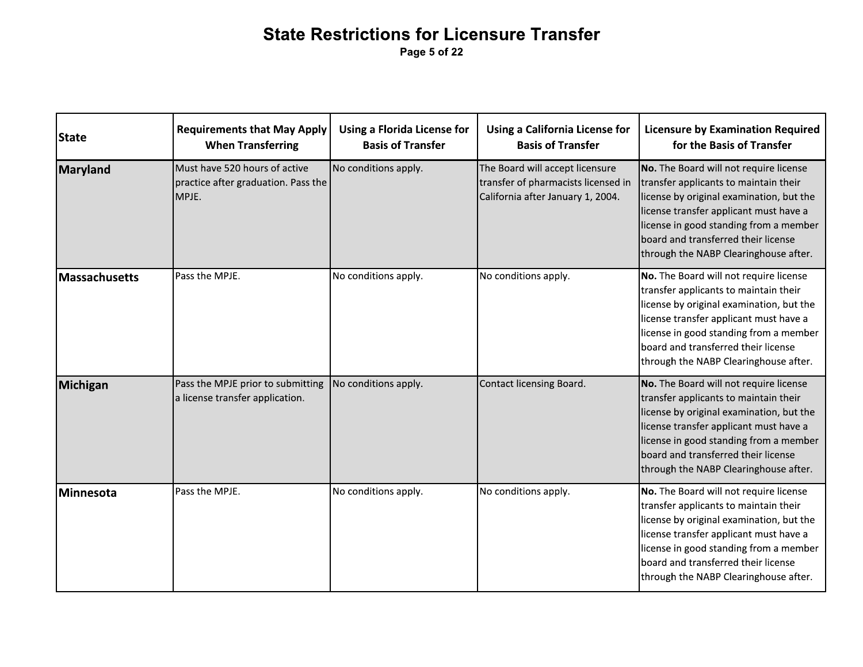**Requirements that May Apply Using a Florida License for Using a California License for Licensure by Examination Required State Basis of Transfer When Transferring Basis of Transfer** for the Basis of Transfer Must have 520 hours of active No conditions apply. The Board will accept licensure No. The Board will not require license Maryland practice after graduation. Pass the transfer of pharmacists licensed in transfer applicants to maintain their MPJE. California after January 1, 2004. license by original examination, but the license transfer applicant must have a license in good standing from a member board and transferred their license through the NABP Clearinghouse after. Pass the MPJE. No conditions apply. No conditions apply. No. The Board will not require license **Massachusetts** transfer applicants to maintain their license by original examination, but the license transfer applicant must have a license in good standing from a member board and transferred their license through the NABP Clearinghouse after. Michigan Pass the MPJE prior to submitting No conditions apply. Contact licensing Board. No. The Board will not require license a license transfer application. transfer applicants to maintain their license by original examination, but the license transfer applicant must have a license in good standing from a member board and transferred their license through the NABP Clearinghouse after. No conditions apply. No conditions apply. Pass the MPJE. No. The Board will not require license Minnesota transfer applicants to maintain their license by original examination, but the license transfer applicant must have a license in good standing from a member board and transferred their license through the NABP Clearinghouse after.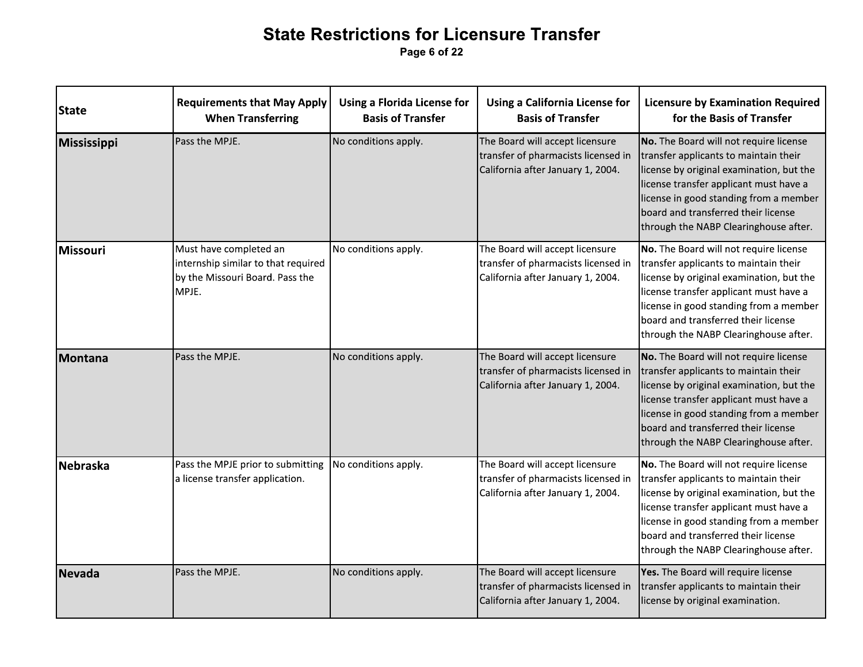Page 6 of 22

| State       | <b>Requirements that May Apply</b><br><b>When Transferring</b>                                            | <b>Using a Florida License for</b><br><b>Basis of Transfer</b> | <b>Using a California License for</b><br><b>Basis of Transfer</b>                                           | <b>Licensure by Examination Required</b><br>for the Basis of Transfer                                                                                                                                                                                                                           |
|-------------|-----------------------------------------------------------------------------------------------------------|----------------------------------------------------------------|-------------------------------------------------------------------------------------------------------------|-------------------------------------------------------------------------------------------------------------------------------------------------------------------------------------------------------------------------------------------------------------------------------------------------|
| Mississippi | Pass the MPJE.                                                                                            | No conditions apply.                                           | The Board will accept licensure<br>transfer of pharmacists licensed in<br>California after January 1, 2004. | No. The Board will not require license<br>transfer applicants to maintain their<br>license by original examination, but the<br>license transfer applicant must have a<br>license in good standing from a member<br>board and transferred their license<br>through the NABP Clearinghouse after. |
| Missouri    | Must have completed an<br>internship similar to that required<br>by the Missouri Board. Pass the<br>MPJE. | No conditions apply.                                           | The Board will accept licensure<br>transfer of pharmacists licensed in<br>California after January 1, 2004. | No. The Board will not require license<br>transfer applicants to maintain their<br>license by original examination, but the<br>license transfer applicant must have a<br>license in good standing from a member<br>board and transferred their license<br>through the NABP Clearinghouse after. |
| Montana     | Pass the MPJE.                                                                                            | No conditions apply.                                           | The Board will accept licensure<br>transfer of pharmacists licensed in<br>California after January 1, 2004. | No. The Board will not require license<br>transfer applicants to maintain their<br>license by original examination, but the<br>license transfer applicant must have a<br>license in good standing from a member<br>board and transferred their license<br>through the NABP Clearinghouse after. |
| Nebraska    | Pass the MPJE prior to submitting<br>a license transfer application.                                      | No conditions apply.                                           | The Board will accept licensure<br>transfer of pharmacists licensed in<br>California after January 1, 2004. | No. The Board will not require license<br>transfer applicants to maintain their<br>license by original examination, but the<br>license transfer applicant must have a<br>license in good standing from a member<br>board and transferred their license<br>through the NABP Clearinghouse after. |
| Nevada      | Pass the MPJE.                                                                                            | No conditions apply.                                           | The Board will accept licensure<br>transfer of pharmacists licensed in<br>California after January 1, 2004. | Yes. The Board will require license<br>transfer applicants to maintain their<br>license by original examination.                                                                                                                                                                                |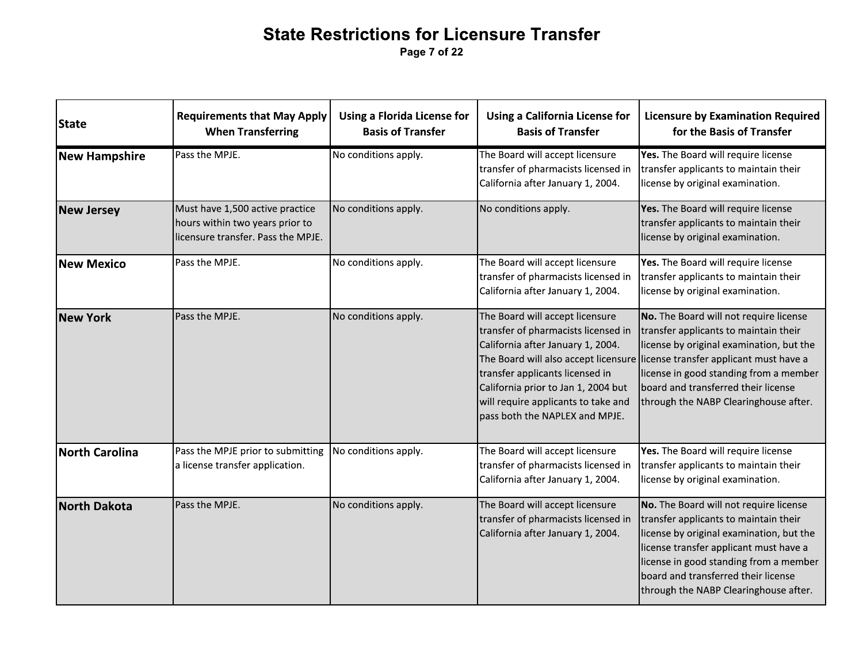Page 7 of 22

| <b>State</b>         | <b>Requirements that May Apply</b><br><b>When Transferring</b>                                           | <b>Using a Florida License for</b><br><b>Basis of Transfer</b> | <b>Using a California License for</b><br><b>Basis of Transfer</b>                                                                                                                                                                                              | <b>Licensure by Examination Required</b><br>for the Basis of Transfer                                                                                                                                                                                                                                                                |
|----------------------|----------------------------------------------------------------------------------------------------------|----------------------------------------------------------------|----------------------------------------------------------------------------------------------------------------------------------------------------------------------------------------------------------------------------------------------------------------|--------------------------------------------------------------------------------------------------------------------------------------------------------------------------------------------------------------------------------------------------------------------------------------------------------------------------------------|
| <b>New Hampshire</b> | Pass the MPJE.                                                                                           | No conditions apply.                                           | The Board will accept licensure<br>transfer of pharmacists licensed in<br>California after January 1, 2004.                                                                                                                                                    | Yes. The Board will require license<br>transfer applicants to maintain their<br>license by original examination.                                                                                                                                                                                                                     |
| <b>New Jersey</b>    | Must have 1,500 active practice<br>hours within two years prior to<br>licensure transfer. Pass the MPJE. | No conditions apply.                                           | No conditions apply.                                                                                                                                                                                                                                           | Yes. The Board will require license<br>transfer applicants to maintain their<br>license by original examination.                                                                                                                                                                                                                     |
| New Mexico           | Pass the MPJE.                                                                                           | No conditions apply.                                           | The Board will accept licensure<br>transfer of pharmacists licensed in<br>California after January 1, 2004.                                                                                                                                                    | Yes. The Board will require license<br>transfer applicants to maintain their<br>license by original examination.                                                                                                                                                                                                                     |
| <b>New York</b>      | Pass the MPJE.                                                                                           | No conditions apply.                                           | The Board will accept licensure<br>transfer of pharmacists licensed in<br>California after January 1, 2004.<br>transfer applicants licensed in<br>California prior to Jan 1, 2004 but<br>will require applicants to take and<br>pass both the NAPLEX and MPJE. | No. The Board will not require license<br>transfer applicants to maintain their<br>license by original examination, but the<br>The Board will also accept licensure license transfer applicant must have a<br>license in good standing from a member<br>board and transferred their license<br>through the NABP Clearinghouse after. |
| North Carolina       | Pass the MPJE prior to submitting<br>a license transfer application.                                     | No conditions apply.                                           | The Board will accept licensure<br>transfer of pharmacists licensed in<br>California after January 1, 2004.                                                                                                                                                    | Yes. The Board will require license<br>transfer applicants to maintain their<br>license by original examination.                                                                                                                                                                                                                     |
| <b>North Dakota</b>  | Pass the MPJE.                                                                                           | No conditions apply.                                           | The Board will accept licensure<br>transfer of pharmacists licensed in<br>California after January 1, 2004.                                                                                                                                                    | No. The Board will not require license<br>transfer applicants to maintain their<br>license by original examination, but the<br>license transfer applicant must have a<br>license in good standing from a member<br>board and transferred their license<br>through the NABP Clearinghouse after.                                      |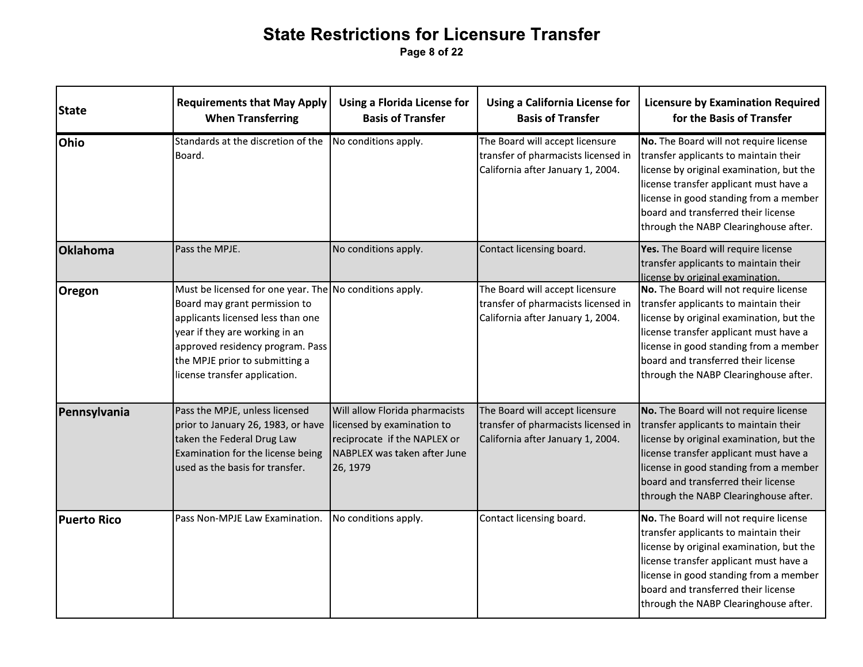|                    |                                                                                                                                                                                                                                                                        | Page 8 of 22                                                                                                                             |                                                                                                             | <b>State Restrictions for Licensure Transfer</b>                                                                                                                                                                                                                                                |  |  |  |  |  |  |
|--------------------|------------------------------------------------------------------------------------------------------------------------------------------------------------------------------------------------------------------------------------------------------------------------|------------------------------------------------------------------------------------------------------------------------------------------|-------------------------------------------------------------------------------------------------------------|-------------------------------------------------------------------------------------------------------------------------------------------------------------------------------------------------------------------------------------------------------------------------------------------------|--|--|--|--|--|--|
| <b>State</b>       | <b>Requirements that May Apply</b><br><b>When Transferring</b>                                                                                                                                                                                                         | <b>Using a Florida License for</b><br><b>Basis of Transfer</b>                                                                           | <b>Using a California License for</b><br><b>Basis of Transfer</b>                                           | <b>Licensure by Examination Required</b><br>for the Basis of Transfer                                                                                                                                                                                                                           |  |  |  |  |  |  |
| <b>Ohio</b>        | Standards at the discretion of the No conditions apply.<br>Board.                                                                                                                                                                                                      |                                                                                                                                          | The Board will accept licensure<br>transfer of pharmacists licensed in<br>California after January 1, 2004. | No. The Board will not require license<br>transfer applicants to maintain their<br>license by original examination, but the<br>license transfer applicant must have a<br>license in good standing from a member<br>board and transferred their license<br>through the NABP Clearinghouse after. |  |  |  |  |  |  |
| <b>Oklahoma</b>    | Pass the MPJE.                                                                                                                                                                                                                                                         | No conditions apply.                                                                                                                     | Contact licensing board.                                                                                    | Yes. The Board will require license<br>transfer applicants to maintain their<br>license by original examination.                                                                                                                                                                                |  |  |  |  |  |  |
| <b>Oregon</b>      | Must be licensed for one year. The No conditions apply.<br>Board may grant permission to<br>applicants licensed less than one<br>year if they are working in an<br>approved residency program. Pass<br>the MPJE prior to submitting a<br>license transfer application. |                                                                                                                                          | The Board will accept licensure<br>transfer of pharmacists licensed in<br>California after January 1, 2004. | No. The Board will not require license<br>transfer applicants to maintain their<br>license by original examination, but the<br>license transfer applicant must have a<br>license in good standing from a member<br>board and transferred their license<br>through the NABP Clearinghouse after. |  |  |  |  |  |  |
| Pennsylvania       | Pass the MPJE, unless licensed<br>prior to January 26, 1983, or have<br>taken the Federal Drug Law<br>Examination for the license being<br>used as the basis for transfer.                                                                                             | Will allow Florida pharmacists<br>licensed by examination to<br>reciprocate if the NAPLEX or<br>NABPLEX was taken after June<br>26, 1979 | The Board will accept licensure<br>transfer of pharmacists licensed in<br>California after January 1, 2004. | No. The Board will not require license<br>transfer applicants to maintain their<br>license by original examination, but the<br>license transfer applicant must have a<br>license in good standing from a member<br>board and transferred their license<br>through the NABP Clearinghouse after. |  |  |  |  |  |  |
| <b>Puerto Rico</b> | Pass Non-MPJE Law Examination.                                                                                                                                                                                                                                         | No conditions apply.                                                                                                                     | Contact licensing board.                                                                                    | No. The Board will not require license<br>transfer applicants to maintain their<br>license by original examination, but the<br>license transfer applicant must have a<br>license in good standing from a member<br>board and transferred their license<br>through the NABP Clearinghouse after. |  |  |  |  |  |  |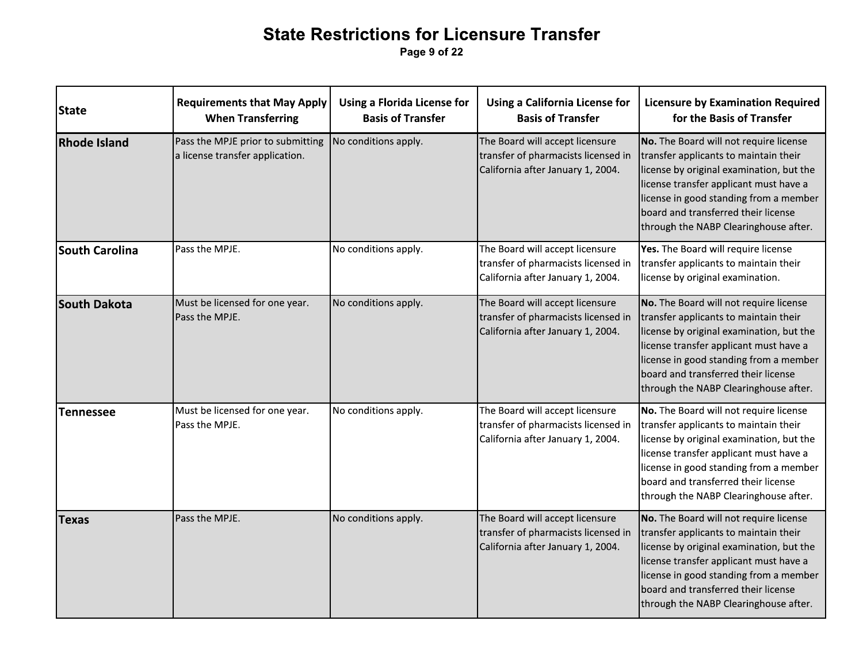Page 9 of 22

| <b>State</b>          | <b>Requirements that May Apply</b><br><b>When Transferring</b>       | <b>Using a Florida License for</b><br><b>Basis of Transfer</b> | <b>Using a California License for</b><br><b>Basis of Transfer</b>                                           | <b>Licensure by Examination Required</b><br>for the Basis of Transfer                                                                                                                                                                                                                           |
|-----------------------|----------------------------------------------------------------------|----------------------------------------------------------------|-------------------------------------------------------------------------------------------------------------|-------------------------------------------------------------------------------------------------------------------------------------------------------------------------------------------------------------------------------------------------------------------------------------------------|
| <b>Rhode Island</b>   | Pass the MPJE prior to submitting<br>a license transfer application. | No conditions apply.                                           | The Board will accept licensure<br>transfer of pharmacists licensed in<br>California after January 1, 2004. | No. The Board will not require license<br>transfer applicants to maintain their<br>license by original examination, but the<br>license transfer applicant must have a<br>license in good standing from a member<br>board and transferred their license<br>through the NABP Clearinghouse after. |
| <b>South Carolina</b> | Pass the MPJE.                                                       | No conditions apply.                                           | The Board will accept licensure<br>transfer of pharmacists licensed in<br>California after January 1, 2004. | Yes. The Board will require license<br>transfer applicants to maintain their<br>license by original examination.                                                                                                                                                                                |
| South Dakota          | Must be licensed for one year.<br>Pass the MPJE.                     | No conditions apply.                                           | The Board will accept licensure<br>transfer of pharmacists licensed in<br>California after January 1, 2004. | No. The Board will not require license<br>transfer applicants to maintain their<br>license by original examination, but the<br>license transfer applicant must have a<br>license in good standing from a member<br>board and transferred their license<br>through the NABP Clearinghouse after. |
| <b>Tennessee</b>      | Must be licensed for one year.<br>Pass the MPJE.                     | No conditions apply.                                           | The Board will accept licensure<br>transfer of pharmacists licensed in<br>California after January 1, 2004. | No. The Board will not require license<br>transfer applicants to maintain their<br>license by original examination, but the<br>license transfer applicant must have a<br>license in good standing from a member<br>board and transferred their license<br>through the NABP Clearinghouse after. |
| <b>Texas</b>          | Pass the MPJE.                                                       | No conditions apply.                                           | The Board will accept licensure<br>transfer of pharmacists licensed in<br>California after January 1, 2004. | No. The Board will not require license<br>transfer applicants to maintain their<br>license by original examination, but the<br>license transfer applicant must have a<br>license in good standing from a member<br>board and transferred their license<br>through the NABP Clearinghouse after. |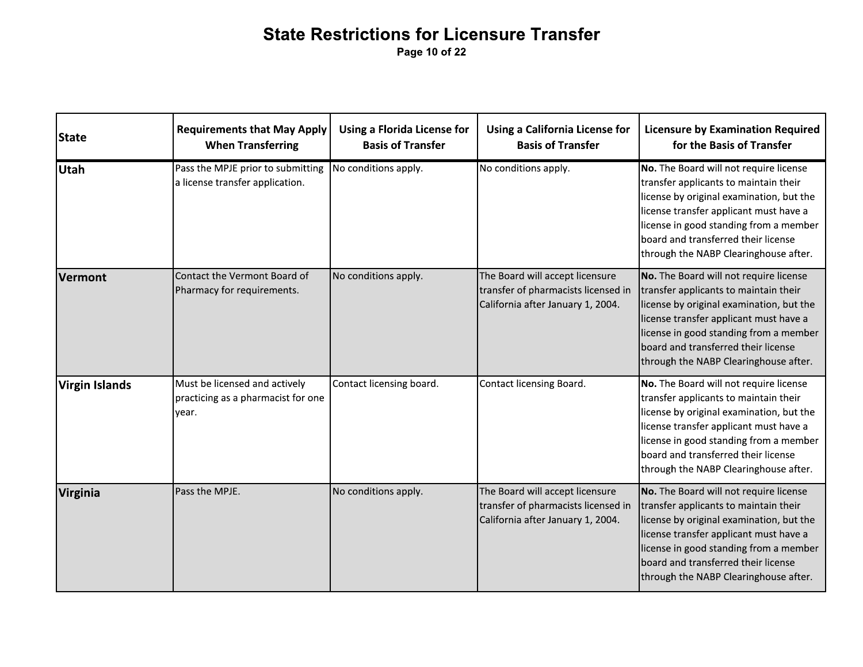Page 10 of 22

| <b>State</b>          | <b>Requirements that May Apply</b><br><b>When Transferring</b>               | <b>Using a Florida License for</b><br><b>Basis of Transfer</b> | <b>Using a California License for</b><br><b>Basis of Transfer</b>                                           | <b>Licensure by Examination Required</b><br>for the Basis of Transfer                                                                                                                                                                                                                           |
|-----------------------|------------------------------------------------------------------------------|----------------------------------------------------------------|-------------------------------------------------------------------------------------------------------------|-------------------------------------------------------------------------------------------------------------------------------------------------------------------------------------------------------------------------------------------------------------------------------------------------|
| <b>Utah</b>           | Pass the MPJE prior to submitting<br>a license transfer application.         | No conditions apply.                                           | No conditions apply.                                                                                        | No. The Board will not require license<br>transfer applicants to maintain their<br>license by original examination, but the<br>license transfer applicant must have a<br>license in good standing from a member<br>board and transferred their license<br>through the NABP Clearinghouse after. |
| Vermont               | Contact the Vermont Board of<br>Pharmacy for requirements.                   | No conditions apply.                                           | The Board will accept licensure<br>transfer of pharmacists licensed in<br>California after January 1, 2004. | No. The Board will not require license<br>transfer applicants to maintain their<br>license by original examination, but the<br>license transfer applicant must have a<br>license in good standing from a member<br>board and transferred their license<br>through the NABP Clearinghouse after. |
| <b>Virgin Islands</b> | Must be licensed and actively<br>practicing as a pharmacist for one<br>year. | Contact licensing board.                                       | Contact licensing Board.                                                                                    | No. The Board will not require license<br>transfer applicants to maintain their<br>license by original examination, but the<br>license transfer applicant must have a<br>license in good standing from a member<br>board and transferred their license<br>through the NABP Clearinghouse after. |
| <b>Virginia</b>       | Pass the MPJE.                                                               | No conditions apply.                                           | The Board will accept licensure<br>transfer of pharmacists licensed in<br>California after January 1, 2004. | No. The Board will not require license<br>transfer applicants to maintain their<br>license by original examination, but the<br>license transfer applicant must have a<br>license in good standing from a member<br>board and transferred their license<br>through the NABP Clearinghouse after. |